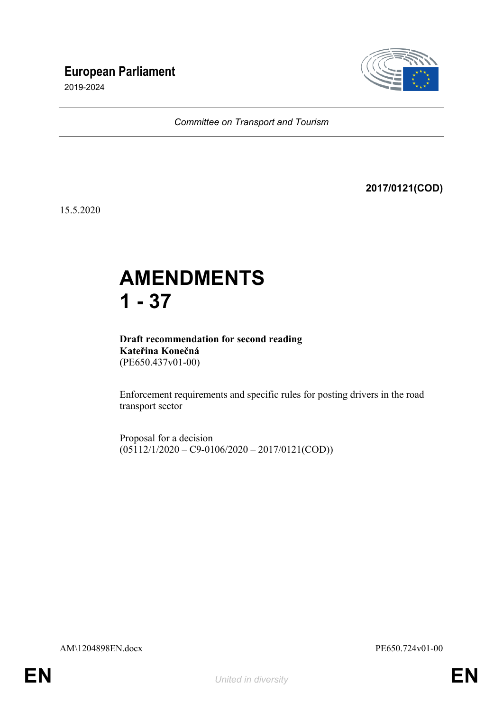## **European Parliament**

2019-2024



*Committee on Transport and Tourism*

**2017/0121(COD)**

15.5.2020

# **AMENDMENTS 1 - 37**

**Draft recommendation for second reading Kateřina Konečná** (PE650.437v01-00)

Enforcement requirements and specific rules for posting drivers in the road transport sector

Proposal for a decision  $(05112/1/2020 - C9-0106/2020 - 2017/0121(COD))$ 

AM\1204898EN.docx PE650.724v01-00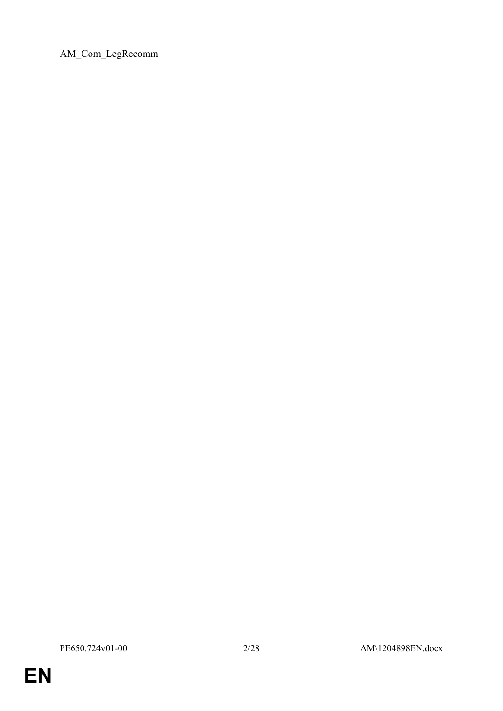AM\_Com\_LegRecomm

**EN**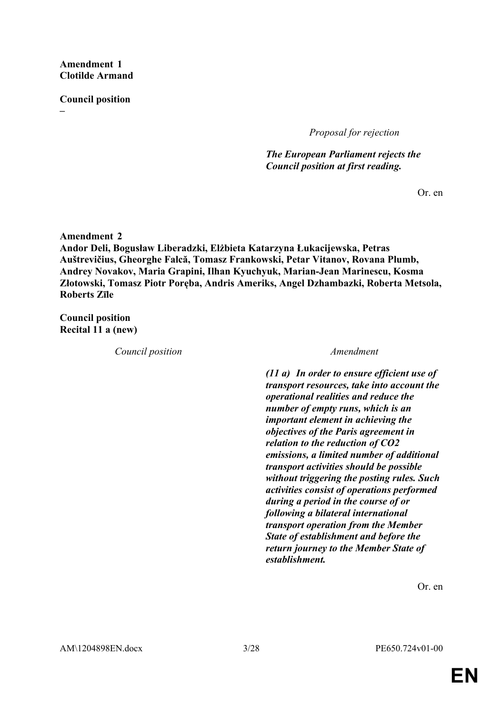**Amendment 1 Clotilde Armand**

**Council position**

**–**

*Proposal for rejection*

*The European Parliament rejects the Council position at first reading.*

Or. en

**Amendment 2 Andor Deli, Bogusław Liberadzki, Elżbieta Katarzyna Łukacijewska, Petras Auštrevičius, Gheorghe Falcă, Tomasz Frankowski, Petar Vitanov, Rovana Plumb, Andrey Novakov, Maria Grapini, Ilhan Kyuchyuk, Marian-Jean Marinescu, Kosma Złotowski, Tomasz Piotr Poręba, Andris Ameriks, Angel Dzhambazki, Roberta Metsola, Roberts Zīle**

**Council position Recital 11 a (new)**

*Council position Amendment*

*(11 a) In order to ensure efficient use of transport resources, take into account the operational realities and reduce the number of empty runs, which is an important element in achieving the objectives of the Paris agreement in relation to the reduction of CO2 emissions, a limited number of additional transport activities should be possible without triggering the posting rules. Such activities consist of operations performed during a period in the course of or following a bilateral international transport operation from the Member State of establishment and before the return journey to the Member State of establishment.*

Or. en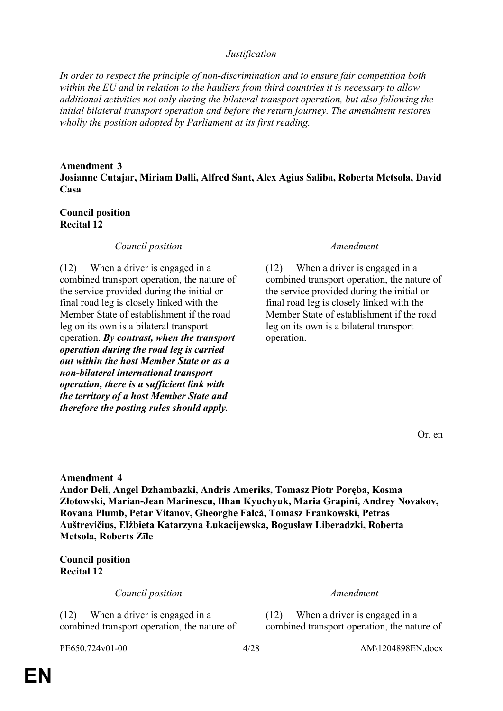### *Justification*

*In order to respect the principle of non-discrimination and to ensure fair competition both within the EU and in relation to the hauliers from third countries it is necessary to allow additional activities not only during the bilateral transport operation, but also following the initial bilateral transport operation and before the return journey. The amendment restores wholly the position adopted by Parliament at its first reading.*

### **Amendment 3**

**Josianne Cutajar, Miriam Dalli, Alfred Sant, Alex Agius Saliba, Roberta Metsola, David Casa**

### **Council position Recital 12**

### *Council position Amendment*

(12) When a driver is engaged in a combined transport operation, the nature of the service provided during the initial or final road leg is closely linked with the Member State of establishment if the road leg on its own is a bilateral transport operation. *By contrast, when the transport operation during the road leg is carried out within the host Member State or as a non-bilateral international transport operation, there is a sufficient link with the territory of a host Member State and therefore the posting rules should apply.*

(12) When a driver is engaged in a combined transport operation, the nature of the service provided during the initial or final road leg is closely linked with the Member State of establishment if the road leg on its own is a bilateral transport operation.

Or. en

**Amendment 4**

**Andor Deli, Angel Dzhambazki, Andris Ameriks, Tomasz Piotr Poręba, Kosma Złotowski, Marian-Jean Marinescu, Ilhan Kyuchyuk, Maria Grapini, Andrey Novakov, Rovana Plumb, Petar Vitanov, Gheorghe Falcă, Tomasz Frankowski, Petras Auštrevičius, Elżbieta Katarzyna Łukacijewska, Bogusław Liberadzki, Roberta Metsola, Roberts Zīle**

**Council position Recital 12**

*Council position Amendment*

(12) When a driver is engaged in a combined transport operation, the nature of

(12) When a driver is engaged in a combined transport operation, the nature of

PE650.724v01-00 4/28 AM\1204898EN.docx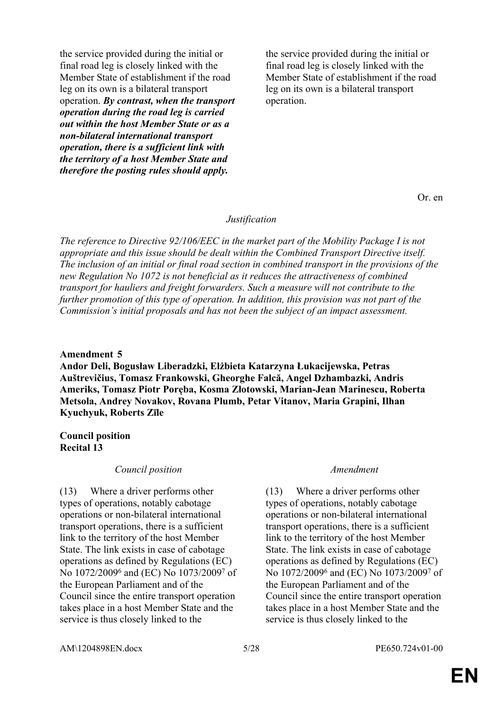the service provided during the initial or final road leg is closely linked with the Member State of establishment if the road leg on its own is a bilateral transport operation. *By contrast, when the transport operation during the road leg is carried out within the host Member State or as a non-bilateral international transport operation, there is a sufficient link with the territory of a host Member State and therefore the posting rules should apply.*

the service provided during the initial or final road leg is closely linked with the Member State of establishment if the road leg on its own is a bilateral transport operation.

Or. en

### *Justification*

*The reference to Directive 92/106/EEC in the market part of the Mobility Package I is not appropriate and this issue should be dealt within the Combined Transport Directive itself. The inclusion of an initial or final road section in combined transport in the provisions of the new Regulation No 1072 is not beneficial as it reduces the attractiveness of combined transport for hauliers and freight forwarders. Such a measure will not contribute to the further promotion of this type of operation. In addition, this provision was not part of the Commission's initial proposals and has not been the subject of an impact assessment.*

### **Amendment 5**

**Andor Deli, Bogusław Liberadzki, Elżbieta Katarzyna Łukacijewska, Petras Auštrevičius, Tomasz Frankowski, Gheorghe Falcă, Angel Dzhambazki, Andris Ameriks, Tomasz Piotr Poręba, Kosma Złotowski, Marian-Jean Marinescu, Roberta Metsola, Andrey Novakov, Rovana Plumb, Petar Vitanov, Maria Grapini, Ilhan Kyuchyuk, Roberts Zīle**

### **Council position Recital 13**

### *Council position Amendment*

(13) Where a driver performs other types of operations, notably cabotage operations or non-bilateral international transport operations, there is a sufficient link to the territory of the host Member State. The link exists in case of cabotage operations as defined by Regulations (EC) No 1072/2009<sup>6</sup> and (EC) No 1073/2009<sup>7</sup> of the European Parliament and of the Council since the entire transport operation takes place in a host Member State and the service is thus closely linked to the

(13) Where a driver performs other types of operations, notably cabotage operations or non-bilateral international transport operations, there is a sufficient link to the territory of the host Member State. The link exists in case of cabotage operations as defined by Regulations (EC) No 1072/2009<sup>6</sup> and (EC) No 1073/2009<sup>7</sup> of the European Parliament and of the Council since the entire transport operation takes place in a host Member State and the service is thus closely linked to the

AM\1204898EN.docx 5/28 PE650.724v01-00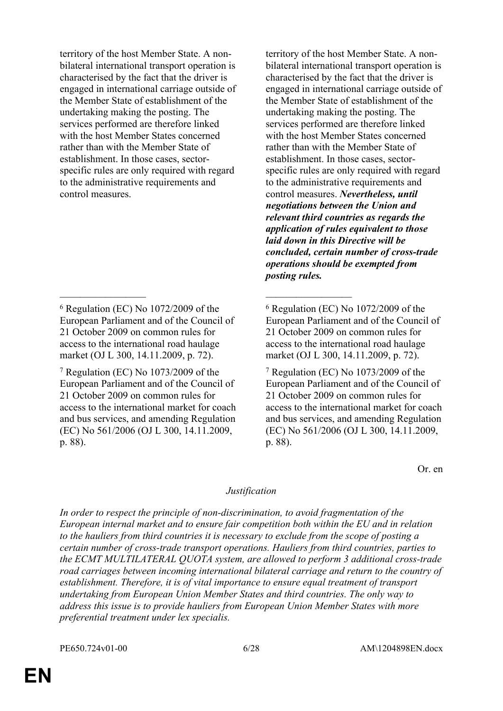territory of the host Member State. A nonbilateral international transport operation is characterised by the fact that the driver is engaged in international carriage outside of the Member State of establishment of the undertaking making the posting. The services performed are therefore linked with the host Member States concerned rather than with the Member State of establishment. In those cases, sectorspecific rules are only required with regard to the administrative requirements and control measures.

\_\_\_\_\_\_\_\_\_\_\_\_\_\_\_\_\_ \_\_\_\_\_\_\_\_\_\_\_\_\_\_\_\_\_

territory of the host Member State. A nonbilateral international transport operation is characterised by the fact that the driver is engaged in international carriage outside of the Member State of establishment of the undertaking making the posting. The services performed are therefore linked with the host Member States concerned rather than with the Member State of establishment. In those cases, sectorspecific rules are only required with regard to the administrative requirements and control measures. *Nevertheless, until negotiations between the Union and relevant third countries as regards the application of rules equivalent to those laid down in this Directive will be concluded, certain number of cross-trade operations should be exempted from posting rules.*

Or. en

### *Justification*

*In order to respect the principle of non-discrimination, to avoid fragmentation of the European internal market and to ensure fair competition both within the EU and in relation to the hauliers from third countries it is necessary to exclude from the scope of posting a certain number of cross-trade transport operations. Hauliers from third countries, parties to the ECMT MULTILATERAL QUOTA system, are allowed to perform 3 additional cross-trade road carriages between incoming international bilateral carriage and return to the country of establishment. Therefore, it is of vital importance to ensure equal treatment of transport undertaking from European Union Member States and third countries. The only way to address this issue is to provide hauliers from European Union Member States with more preferential treatment under lex specialis.*

<sup>6</sup> Regulation (EC) No 1072/2009 of the European Parliament and of the Council of 21 October 2009 on common rules for access to the international road haulage market (OJ L 300, 14.11.2009, p. 72).

<sup>7</sup> Regulation (EC) No 1073/2009 of the European Parliament and of the Council of 21 October 2009 on common rules for access to the international market for coach and bus services, and amending Regulation (EC) No 561/2006 (OJ L 300, 14.11.2009, p. 88).

<sup>6</sup> Regulation (EC) No 1072/2009 of the European Parliament and of the Council of 21 October 2009 on common rules for access to the international road haulage market (OJ L 300, 14.11.2009, p. 72).

<sup>7</sup> Regulation (EC) No 1073/2009 of the European Parliament and of the Council of 21 October 2009 on common rules for access to the international market for coach and bus services, and amending Regulation (EC) No 561/2006 (OJ L 300, 14.11.2009, p. 88).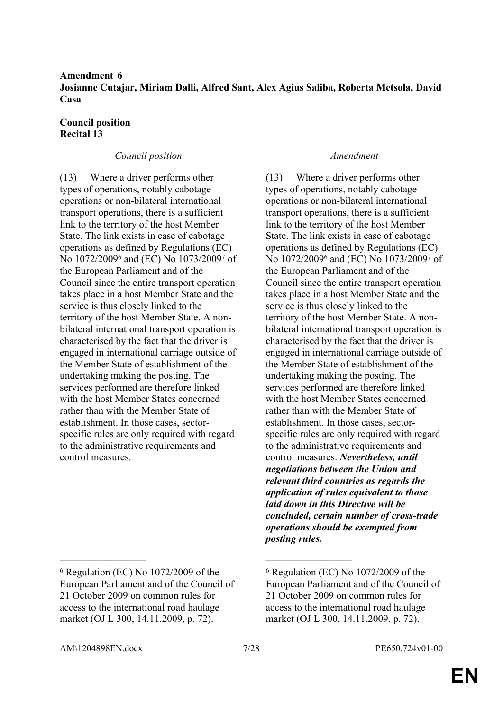**Amendment 6 Josianne Cutajar, Miriam Dalli, Alfred Sant, Alex Agius Saliba, Roberta Metsola, David Casa**

### **Council position Recital 13**

### *Council position Amendment*

(13) Where a driver performs other types of operations, notably cabotage operations or non-bilateral international transport operations, there is a sufficient link to the territory of the host Member State. The link exists in case of cabotage operations as defined by Regulations (EC) No 1072/2009<sup>6</sup> and (EC) No 1073/2009<sup>7</sup> of the European Parliament and of the Council since the entire transport operation takes place in a host Member State and the service is thus closely linked to the territory of the host Member State. A nonbilateral international transport operation is characterised by the fact that the driver is engaged in international carriage outside of the Member State of establishment of the undertaking making the posting. The services performed are therefore linked with the host Member States concerned rather than with the Member State of establishment. In those cases, sectorspecific rules are only required with regard to the administrative requirements and control measures.

(13) Where a driver performs other types of operations, notably cabotage operations or non-bilateral international transport operations, there is a sufficient link to the territory of the host Member State. The link exists in case of cabotage operations as defined by Regulations (EC) No 1072/2009<sup>6</sup> and (EC) No 1073/2009<sup>7</sup> of the European Parliament and of the Council since the entire transport operation takes place in a host Member State and the service is thus closely linked to the territory of the host Member State. A nonbilateral international transport operation is characterised by the fact that the driver is engaged in international carriage outside of the Member State of establishment of the undertaking making the posting. The services performed are therefore linked with the host Member States concerned rather than with the Member State of establishment. In those cases, sectorspecific rules are only required with regard to the administrative requirements and control measures. *Nevertheless, until negotiations between the Union and relevant third countries as regards the application of rules equivalent to those laid down in this Directive will be concluded, certain number of cross-trade operations should be exempted from posting rules.*

\_\_\_\_\_\_\_\_\_\_\_\_\_\_\_\_\_ \_\_\_\_\_\_\_\_\_\_\_\_\_\_\_\_\_

<sup>6</sup> Regulation (EC) No 1072/2009 of the European Parliament and of the Council of 21 October 2009 on common rules for access to the international road haulage market (OJ L 300, 14.11.2009, p. 72).

<sup>6</sup> Regulation (EC) No 1072/2009 of the European Parliament and of the Council of 21 October 2009 on common rules for access to the international road haulage market (OJ L 300, 14.11.2009, p. 72).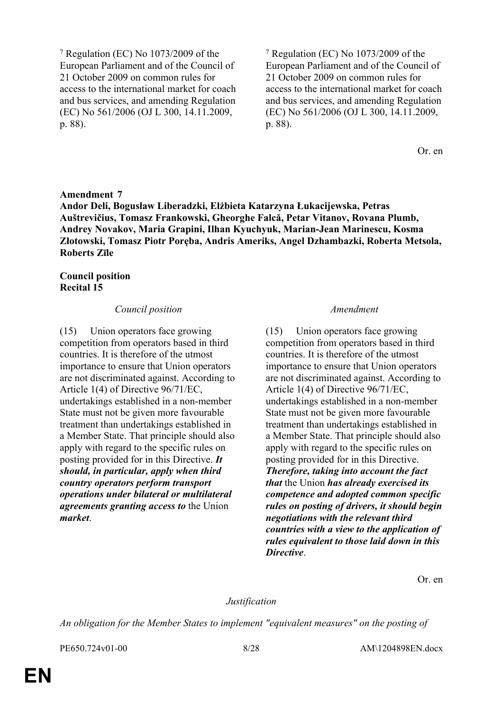7 Regulation (EC) No 1073/2009 of the European Parliament and of the Council of 21 October 2009 on common rules for access to the international market for coach and bus services, and amending Regulation (EC) No 561/2006 (OJ L 300, 14.11.2009, p. 88).

7 Regulation (EC) No 1073/2009 of the European Parliament and of the Council of 21 October 2009 on common rules for access to the international market for coach and bus services, and amending Regulation (EC) No 561/2006 (OJ L 300, 14.11.2009, p. 88).

Or. en

### **Amendment 7**

**Andor Deli, Bogusław Liberadzki, Elżbieta Katarzyna Łukacijewska, Petras Auštrevičius, Tomasz Frankowski, Gheorghe Falcă, Petar Vitanov, Rovana Plumb, Andrey Novakov, Maria Grapini, Ilhan Kyuchyuk, Marian-Jean Marinescu, Kosma Złotowski, Tomasz Piotr Poręba, Andris Ameriks, Angel Dzhambazki, Roberta Metsola, Roberts Zīle**

### **Council position Recital 15**

### *Council position Amendment*

(15) Union operators face growing competition from operators based in third countries. It is therefore of the utmost importance to ensure that Union operators are not discriminated against. According to Article 1(4) of Directive 96/71/EC, undertakings established in a non-member State must not be given more favourable treatment than undertakings established in a Member State. That principle should also apply with regard to the specific rules on posting provided for in this Directive. *It should, in particular, apply when third country operators perform transport operations under bilateral or multilateral agreements granting access to* the Union *market*.

(15) Union operators face growing competition from operators based in third countries. It is therefore of the utmost importance to ensure that Union operators are not discriminated against. According to Article 1(4) of Directive 96/71/EC, undertakings established in a non-member State must not be given more favourable treatment than undertakings established in a Member State. That principle should also apply with regard to the specific rules on posting provided for in this Directive. *Therefore, taking into account the fact that* the Union *has already exercised its competence and adopted common specific rules on posting of drivers, it should begin negotiations with the relevant third countries with a view to the application of rules equivalent to those laid down in this Directive*.

Or. en

### *Justification*

*An obligation for the Member States to implement "equivalent measures" on the posting of*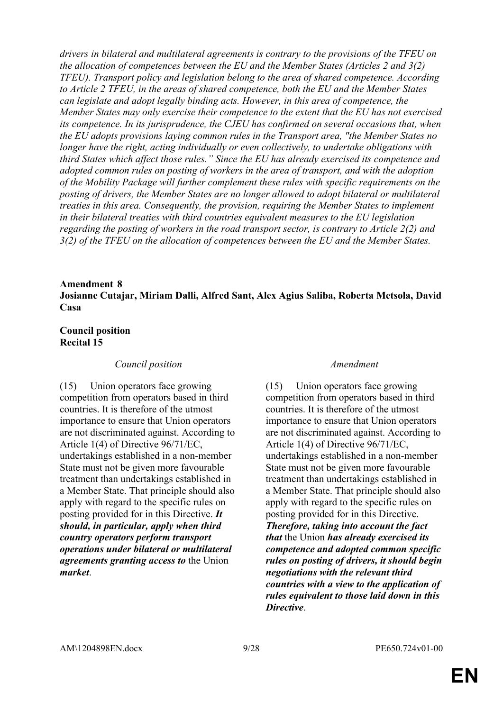*drivers in bilateral and multilateral agreements is contrary to the provisions of the TFEU on the allocation of competences between the EU and the Member States (Articles 2 and 3(2) TFEU). Transport policy and legislation belong to the area of shared competence. According to Article 2 TFEU, in the areas of shared competence, both the EU and the Member States can legislate and adopt legally binding acts. However, in this area of competence, the Member States may only exercise their competence to the extent that the EU has not exercised its competence. In its jurisprudence, the CJEU has confirmed on several occasions that, when the EU adopts provisions laying common rules in the Transport area, "the Member States no longer have the right, acting individually or even collectively, to undertake obligations with third States which affect those rules." Since the EU has already exercised its competence and adopted common rules on posting of workers in the area of transport, and with the adoption of the Mobility Package will further complement these rules with specific requirements on the posting of drivers, the Member States are no longer allowed to adopt bilateral or multilateral treaties in this area. Consequently, the provision, requiring the Member States to implement in their bilateral treaties with third countries equivalent measures to the EU legislation regarding the posting of workers in the road transport sector, is contrary to Article 2(2) and 3(2) of the TFEU on the allocation of competences between the EU and the Member States.*

### **Amendment 8 Josianne Cutajar, Miriam Dalli, Alfred Sant, Alex Agius Saliba, Roberta Metsola, David Casa**

### **Council position Recital 15**

### *Council position Amendment*

(15) Union operators face growing competition from operators based in third countries. It is therefore of the utmost importance to ensure that Union operators are not discriminated against. According to Article 1(4) of Directive 96/71/EC, undertakings established in a non-member State must not be given more favourable treatment than undertakings established in a Member State. That principle should also apply with regard to the specific rules on posting provided for in this Directive. *It should, in particular, apply when third country operators perform transport operations under bilateral or multilateral agreements granting access to* the Union *market*.

(15) Union operators face growing competition from operators based in third countries. It is therefore of the utmost importance to ensure that Union operators are not discriminated against. According to Article 1(4) of Directive 96/71/EC, undertakings established in a non-member State must not be given more favourable treatment than undertakings established in a Member State. That principle should also apply with regard to the specific rules on posting provided for in this Directive. *Therefore, taking into account the fact that* the Union *has already exercised its competence and adopted common specific rules on posting of drivers, it should begin negotiations with the relevant third countries with a view to the application of rules equivalent to those laid down in this Directive*.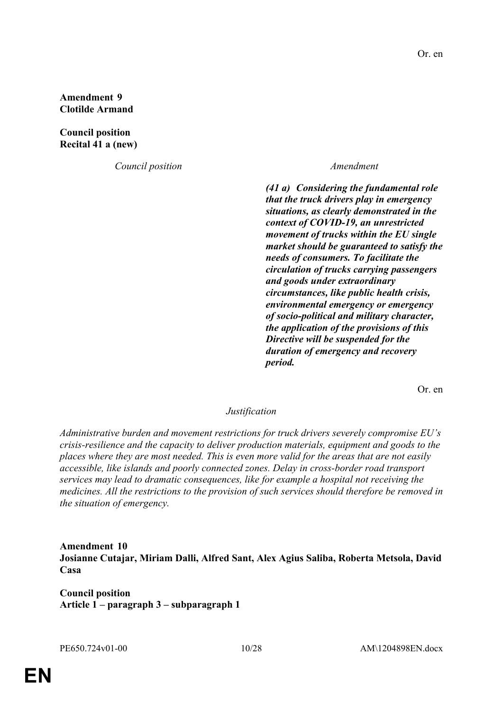**Amendment 9 Clotilde Armand**

**Council position Recital 41 a (new)**

*Council position Amendment*

*(41 a) Considering the fundamental role that the truck drivers play in emergency situations, as clearly demonstrated in the context of COVID-19, an unrestricted movement of trucks within the EU single market should be guaranteed to satisfy the needs of consumers. To facilitate the circulation of trucks carrying passengers and goods under extraordinary circumstances, like public health crisis, environmental emergency or emergency of socio-political and military character, the application of the provisions of this Directive will be suspended for the duration of emergency and recovery period.*

Or. en

### *Justification*

*Administrative burden and movement restrictions for truck drivers severely compromise EU's crisis-resilience and the capacity to deliver production materials, equipment and goods to the places where they are most needed. This is even more valid for the areas that are not easily accessible, like islands and poorly connected zones. Delay in cross-border road transport services may lead to dramatic consequences, like for example a hospital not receiving the medicines. All the restrictions to the provision of such services should therefore be removed in the situation of emergency.*

**Amendment 10 Josianne Cutajar, Miriam Dalli, Alfred Sant, Alex Agius Saliba, Roberta Metsola, David Casa**

**Council position Article 1 – paragraph 3 – subparagraph 1**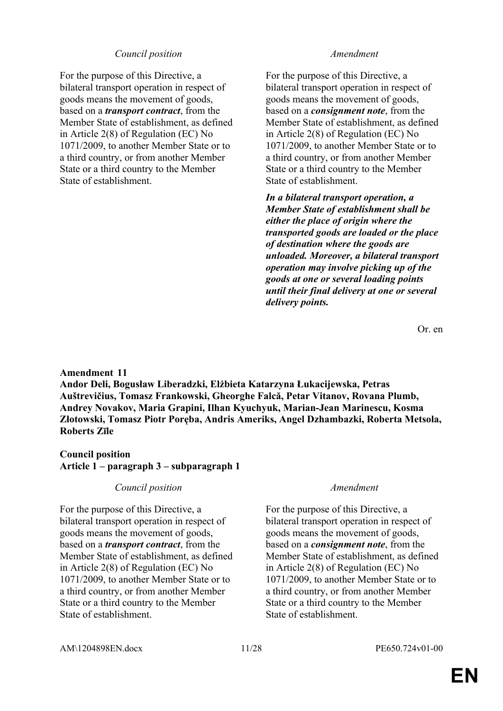### *Council position Amendment*

For the purpose of this Directive, a bilateral transport operation in respect of goods means the movement of goods, based on a *transport contract*, from the Member State of establishment, as defined in Article 2(8) of Regulation (EC) No 1071/2009, to another Member State or to a third country, or from another Member State or a third country to the Member State of establishment.

For the purpose of this Directive, a bilateral transport operation in respect of goods means the movement of goods, based on a *consignment note*, from the Member State of establishment, as defined in Article 2(8) of Regulation (EC) No 1071/2009, to another Member State or to a third country, or from another Member State or a third country to the Member State of establishment.

*In a bilateral transport operation, a Member State of establishment shall be either the place of origin where the transported goods are loaded or the place of destination where the goods are unloaded. Moreover, a bilateral transport operation may involve picking up of the goods at one or several loading points until their final delivery at one or several delivery points.*

Or. en

### **Amendment 11**

**Andor Deli, Bogusław Liberadzki, Elżbieta Katarzyna Łukacijewska, Petras Auštrevičius, Tomasz Frankowski, Gheorghe Falcă, Petar Vitanov, Rovana Plumb, Andrey Novakov, Maria Grapini, Ilhan Kyuchyuk, Marian-Jean Marinescu, Kosma Złotowski, Tomasz Piotr Poręba, Andris Ameriks, Angel Dzhambazki, Roberta Metsola, Roberts Zīle**

### **Council position Article 1 – paragraph 3 – subparagraph 1**

### *Council position Amendment*

For the purpose of this Directive, a bilateral transport operation in respect of goods means the movement of goods, based on a *transport contract*, from the Member State of establishment, as defined in Article 2(8) of Regulation (EC) No 1071/2009, to another Member State or to a third country, or from another Member State or a third country to the Member State of establishment.

For the purpose of this Directive, a bilateral transport operation in respect of goods means the movement of goods, based on a *consignment note*, from the Member State of establishment, as defined in Article 2(8) of Regulation (EC) No 1071/2009, to another Member State or to a third country, or from another Member State or a third country to the Member State of establishment.

AM\1204898EN.docx 11/28 PE650.724v01-00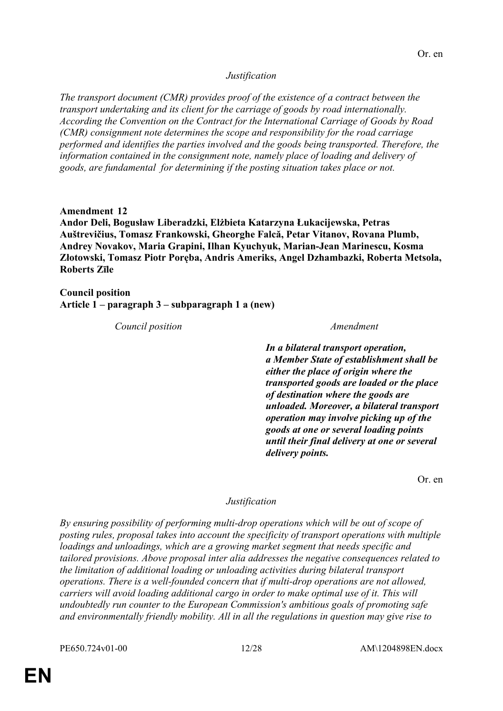### *Justification*

*The transport document (CMR) provides proof of the existence of a contract between the transport undertaking and its client for the carriage of goods by road internationally. According the Convention on the Contract for the International Carriage of Goods by Road (CMR) consignment note determines the scope and responsibility for the road carriage performed and identifies the parties involved and the goods being transported. Therefore, the information contained in the consignment note, namely place of loading and delivery of goods, are fundamental for determining if the posting situation takes place or not.*

**Amendment 12 Andor Deli, Bogusław Liberadzki, Elżbieta Katarzyna Łukacijewska, Petras Auštrevičius, Tomasz Frankowski, Gheorghe Falcă, Petar Vitanov, Rovana Plumb, Andrey Novakov, Maria Grapini, Ilhan Kyuchyuk, Marian-Jean Marinescu, Kosma Złotowski, Tomasz Piotr Poręba, Andris Ameriks, Angel Dzhambazki, Roberta Metsola, Roberts Zīle**

**Council position Article 1 – paragraph 3 – subparagraph 1 a (new)**

*Council position Amendment*

*In a bilateral transport operation, a Member State of establishment shall be either the place of origin where the transported goods are loaded or the place of destination where the goods are unloaded. Moreover, a bilateral transport operation may involve picking up of the goods at one or several loading points until their final delivery at one or several delivery points.*

Or. en

### *Justification*

*By ensuring possibility of performing multi-drop operations which will be out of scope of posting rules, proposal takes into account the specificity of transport operations with multiple loadings and unloadings, which are a growing market segment that needs specific and tailored provisions. Above proposal inter alia addresses the negative consequences related to the limitation of additional loading or unloading activities during bilateral transport operations. There is a well-founded concern that if multi-drop operations are not allowed, carriers will avoid loading additional cargo in order to make optimal use of it. This will undoubtedly run counter to the European Commission's ambitious goals of promoting safe and environmentally friendly mobility. All in all the regulations in question may give rise to*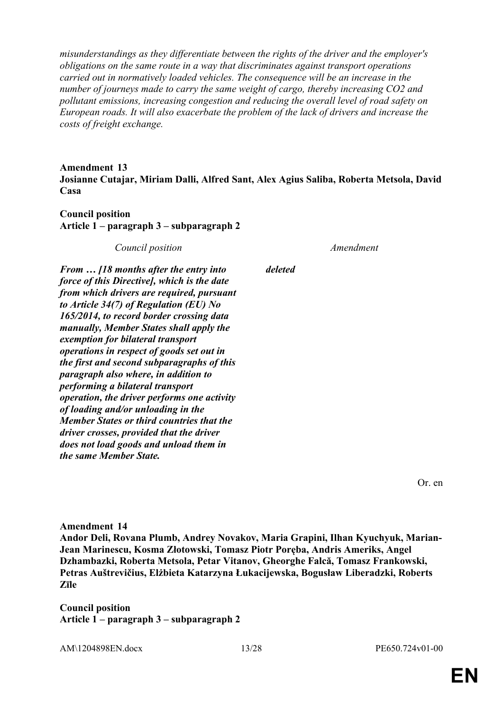*misunderstandings as they differentiate between the rights of the driver and the employer's obligations on the same route in a way that discriminates against transport operations carried out in normatively loaded vehicles. The consequence will be an increase in the number of journeys made to carry the same weight of cargo, thereby increasing CO2 and pollutant emissions, increasing congestion and reducing the overall level of road safety on European roads. It will also exacerbate the problem of the lack of drivers and increase the costs of freight exchange.*

### **Amendment 13 Josianne Cutajar, Miriam Dalli, Alfred Sant, Alex Agius Saliba, Roberta Metsola, David Casa**

### **Council position Article 1 – paragraph 3 – subparagraph 2**

*Council position Amendment*

*From … [18 months after the entry into force of this Directive], which is the date from which drivers are required, pursuant to Article 34(7) of Regulation (EU) No 165/2014, to record border crossing data manually, Member States shall apply the exemption for bilateral transport operations in respect of goods set out in the first and second subparagraphs of this paragraph also where, in addition to performing a bilateral transport operation, the driver performs one activity of loading and/or unloading in the Member States or third countries that the driver crosses, provided that the driver does not load goods and unload them in the same Member State.*

*deleted*

Or. en

**Amendment 14 Andor Deli, Rovana Plumb, Andrey Novakov, Maria Grapini, Ilhan Kyuchyuk, Marian-Jean Marinescu, Kosma Złotowski, Tomasz Piotr Poręba, Andris Ameriks, Angel Dzhambazki, Roberta Metsola, Petar Vitanov, Gheorghe Falcă, Tomasz Frankowski, Petras Auštrevičius, Elżbieta Katarzyna Łukacijewska, Bogusław Liberadzki, Roberts Zīle**

**Council position Article 1 – paragraph 3 – subparagraph 2**

AM\1204898EN.docx 13/28 PE650.724v01-00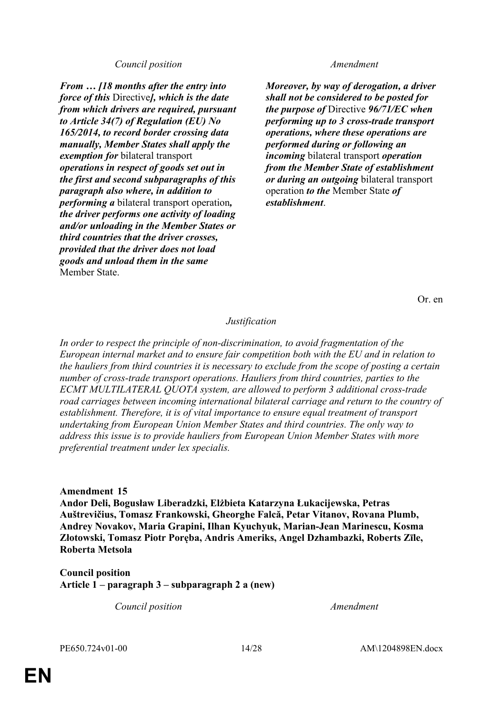### *Council position Amendment*

*From … [18 months after the entry into force of this* Directive*], which is the date from which drivers are required, pursuant to Article 34(7) of Regulation (EU) No 165/2014, to record border crossing data manually, Member States shall apply the exemption for* bilateral transport *operations in respect of goods set out in the first and second subparagraphs of this paragraph also where, in addition to performing a* bilateral transport operation*, the driver performs one activity of loading and/or unloading in the Member States or third countries that the driver crosses, provided that the driver does not load goods and unload them in the same* Member State.

*Moreover, by way of derogation, a driver shall not be considered to be posted for the purpose of* Directive *96/71/EC when performing up to 3 cross-trade transport operations, where these operations are performed during or following an incoming* bilateral transport *operation from the Member State of establishment or during an outgoing* bilateral transport operation *to the* Member State *of establishment*.

Or. en

### *Justification*

*In order to respect the principle of non-discrimination, to avoid fragmentation of the European internal market and to ensure fair competition both with the EU and in relation to the hauliers from third countries it is necessary to exclude from the scope of posting a certain number of cross-trade transport operations. Hauliers from third countries, parties to the ECMT MULTILATERAL QUOTA system, are allowed to perform 3 additional cross-trade road carriages between incoming international bilateral carriage and return to the country of establishment. Therefore, it is of vital importance to ensure equal treatment of transport undertaking from European Union Member States and third countries. The only way to address this issue is to provide hauliers from European Union Member States with more preferential treatment under lex specialis.*

**Amendment 15**

**Andor Deli, Bogusław Liberadzki, Elżbieta Katarzyna Łukacijewska, Petras Auštrevičius, Tomasz Frankowski, Gheorghe Falcă, Petar Vitanov, Rovana Plumb, Andrey Novakov, Maria Grapini, Ilhan Kyuchyuk, Marian-Jean Marinescu, Kosma Złotowski, Tomasz Piotr Poręba, Andris Ameriks, Angel Dzhambazki, Roberts Zīle, Roberta Metsola**

**Council position Article 1 – paragraph 3 – subparagraph 2 a (new)**

*Council position Amendment*

PE650.724v01-00 14/28 AM\1204898EN.docx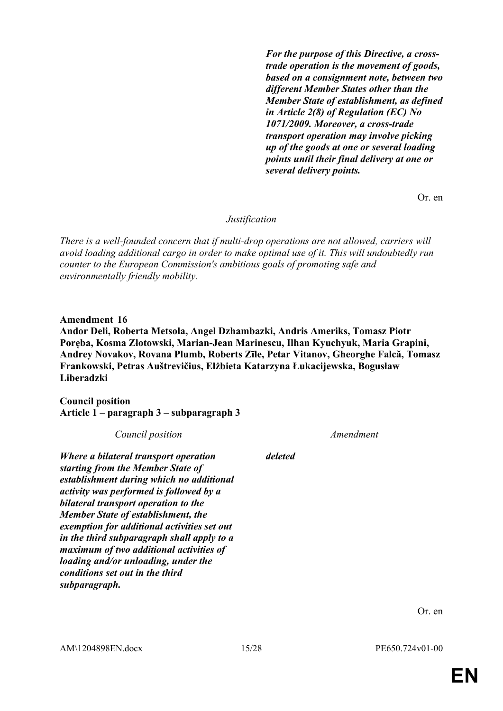*For the purpose of this Directive, a crosstrade operation is the movement of goods, based on a consignment note, between two different Member States other than the Member State of establishment, as defined in Article 2(8) of Regulation (EC) No 1071/2009. Moreover, a cross-trade transport operation may involve picking up of the goods at one or several loading points until their final delivery at one or several delivery points.*

Or. en

*Justification*

*There is a well-founded concern that if multi-drop operations are not allowed, carriers will avoid loading additional cargo in order to make optimal use of it. This will undoubtedly run counter to the European Commission's ambitious goals of promoting safe and environmentally friendly mobility.*

**Amendment 16**

**Andor Deli, Roberta Metsola, Angel Dzhambazki, Andris Ameriks, Tomasz Piotr Poręba, Kosma Złotowski, Marian-Jean Marinescu, Ilhan Kyuchyuk, Maria Grapini, Andrey Novakov, Rovana Plumb, Roberts Zīle, Petar Vitanov, Gheorghe Falcă, Tomasz Frankowski, Petras Auštrevičius, Elżbieta Katarzyna Łukacijewska, Bogusław Liberadzki**

**Council position Article 1 – paragraph 3 – subparagraph 3**

| Council position                                                                                                                                                                                                                                                                                                                                                                                                                                                                   |         | Amendment |
|------------------------------------------------------------------------------------------------------------------------------------------------------------------------------------------------------------------------------------------------------------------------------------------------------------------------------------------------------------------------------------------------------------------------------------------------------------------------------------|---------|-----------|
| Where a bilateral transport operation<br>starting from the Member State of<br>establishment during which no additional<br>activity was performed is followed by a<br>bilateral transport operation to the<br>Member State of establishment, the<br>exemption for additional activities set out<br>in the third subparagraph shall apply to a<br>maximum of two additional activities of<br>loading and/or unloading, under the<br>conditions set out in the third<br>subparagraph. | deleted |           |

Or. en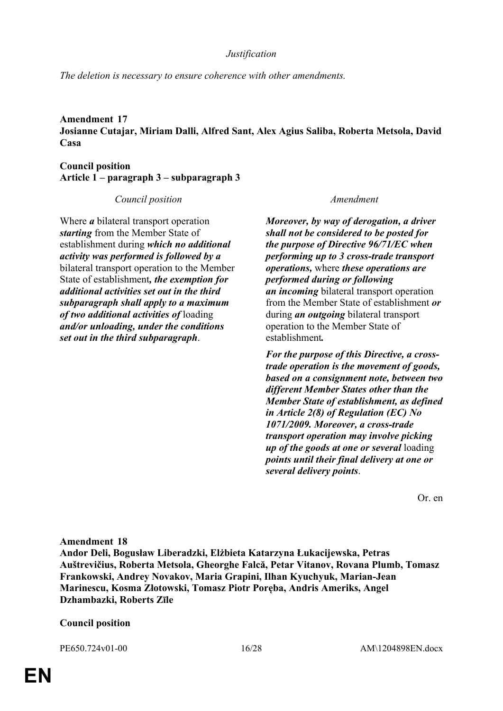*Justification*

*The deletion is necessary to ensure coherence with other amendments.*

### **Amendment 17 Josianne Cutajar, Miriam Dalli, Alfred Sant, Alex Agius Saliba, Roberta Metsola, David Casa**

**Council position Article 1 – paragraph 3 – subparagraph 3**

*Council position Amendment*

Where *a* bilateral transport operation *starting* from the Member State of establishment during *which no additional activity was performed is followed by a* bilateral transport operation to the Member State of establishment*, the exemption for additional activities set out in the third subparagraph shall apply to a maximum of two additional activities of* loading *and/or unloading, under the conditions set out in the third subparagraph*.

*Moreover, by way of derogation, a driver shall not be considered to be posted for the purpose of Directive 96/71/EC when performing up to 3 cross-trade transport operations,* where *these operations are performed during or following an incoming* bilateral transport operation from the Member State of establishment *or* during *an outgoing* bilateral transport operation to the Member State of establishment*.*

*For the purpose of this Directive, a crosstrade operation is the movement of goods, based on a consignment note, between two different Member States other than the Member State of establishment, as defined in Article 2(8) of Regulation (EC) No 1071/2009. Moreover, a cross-trade transport operation may involve picking up of the goods at one or several* loading *points until their final delivery at one or several delivery points*.

Or. en

### **Amendment 18**

**Andor Deli, Bogusław Liberadzki, Elżbieta Katarzyna Łukacijewska, Petras Auštrevičius, Roberta Metsola, Gheorghe Falcă, Petar Vitanov, Rovana Plumb, Tomasz Frankowski, Andrey Novakov, Maria Grapini, Ilhan Kyuchyuk, Marian-Jean Marinescu, Kosma Złotowski, Tomasz Piotr Poręba, Andris Ameriks, Angel Dzhambazki, Roberts Zīle**

### **Council position**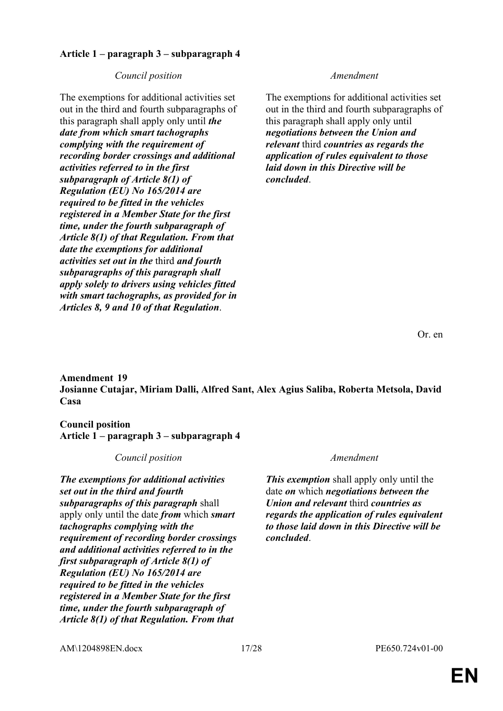### **Article 1 – paragraph 3 – subparagraph 4**

### *Council position Amendment*

The exemptions for additional activities set out in the third and fourth subparagraphs of this paragraph shall apply only until *the date from which smart tachographs complying with the requirement of recording border crossings and additional activities referred to in the first subparagraph of Article 8(1) of Regulation (EU) No 165/2014 are required to be fitted in the vehicles registered in a Member State for the first time, under the fourth subparagraph of Article 8(1) of that Regulation. From that date the exemptions for additional activities set out in the* third *and fourth subparagraphs of this paragraph shall apply solely to drivers using vehicles fitted with smart tachographs, as provided for in Articles 8, 9 and 10 of that Regulation*.

The exemptions for additional activities set out in the third and fourth subparagraphs of this paragraph shall apply only until *negotiations between the Union and relevant* third *countries as regards the application of rules equivalent to those laid down in this Directive will be concluded*.

Or. en

**Amendment 19 Josianne Cutajar, Miriam Dalli, Alfred Sant, Alex Agius Saliba, Roberta Metsola, David Casa**

### **Council position Article 1 – paragraph 3 – subparagraph 4**

### *Council position Amendment*

*The exemptions for additional activities set out in the third and fourth subparagraphs of this paragraph* shall apply only until the date *from* which *smart tachographs complying with the requirement of recording border crossings and additional activities referred to in the first subparagraph of Article 8(1) of Regulation (EU) No 165/2014 are required to be fitted in the vehicles registered in a Member State for the first time, under the fourth subparagraph of Article 8(1) of that Regulation. From that* 

*This exemption* shall apply only until the date *on* which *negotiations between the Union and relevant* third *countries as regards the application of rules equivalent to those laid down in this Directive will be concluded*.

AM\1204898EN.docx 17/28 PE650.724v01-00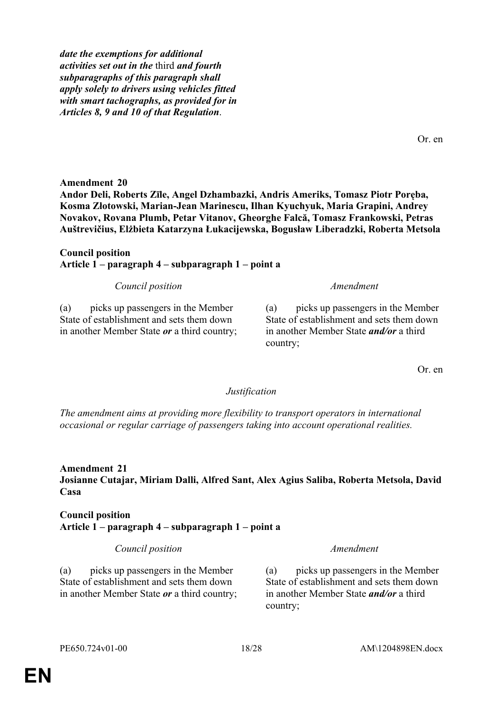*date the exemptions for additional activities set out in the* third *and fourth subparagraphs of this paragraph shall apply solely to drivers using vehicles fitted with smart tachographs, as provided for in Articles 8, 9 and 10 of that Regulation*.

**Amendment 20**

**Andor Deli, Roberts Zīle, Angel Dzhambazki, Andris Ameriks, Tomasz Piotr Poręba, Kosma Złotowski, Marian-Jean Marinescu, Ilhan Kyuchyuk, Maria Grapini, Andrey Novakov, Rovana Plumb, Petar Vitanov, Gheorghe Falcă, Tomasz Frankowski, Petras Auštrevičius, Elżbieta Katarzyna Łukacijewska, Bogusław Liberadzki, Roberta Metsola**

### **Council position Article 1 – paragraph 4 – subparagraph 1 – point a**

*Council position Amendment*

(a) picks up passengers in the Member State of establishment and sets them down in another Member State *or* a third country;

country;

### *Justification*

*The amendment aims at providing more flexibility to transport operators in international occasional or regular carriage of passengers taking into account operational realities.*

**Amendment 21 Josianne Cutajar, Miriam Dalli, Alfred Sant, Alex Agius Saliba, Roberta Metsola, David Casa**

### **Council position Article 1 – paragraph 4 – subparagraph 1 – point a**

*Council position Amendment*

(a) picks up passengers in the Member State of establishment and sets them down in another Member State *or* a third country; (a) picks up passengers in the Member State of establishment and sets them down in another Member State *and/or* a third country;

Or. en

Or. en

(a) picks up passengers in the Member State of establishment and sets them down in another Member State *and/or* a third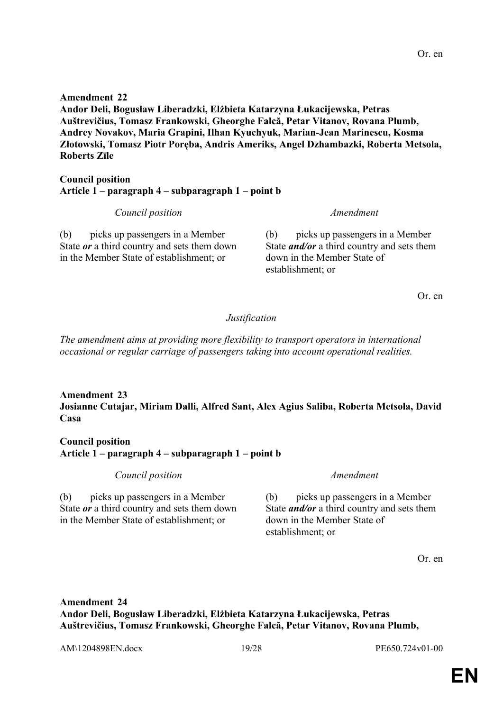**EN**

**Amendment 22 Andor Deli, Bogusław Liberadzki, Elżbieta Katarzyna Łukacijewska, Petras Auštrevičius, Tomasz Frankowski, Gheorghe Falcă, Petar Vitanov, Rovana Plumb, Andrey Novakov, Maria Grapini, Ilhan Kyuchyuk, Marian-Jean Marinescu, Kosma Złotowski, Tomasz Piotr Poręba, Andris Ameriks, Angel Dzhambazki, Roberta Metsola, Roberts Zīle**

### **Council position Article 1 – paragraph 4 – subparagraph 1 – point b**

*Council position Amendment*

(b) picks up passengers in a Member State *or* a third country and sets them down in the Member State of establishment; or

(b) picks up passengers in a Member State *and/or* a third country and sets them down in the Member State of establishment; or

Or. en

### *Justification*

*The amendment aims at providing more flexibility to transport operators in international occasional or regular carriage of passengers taking into account operational realities.*

### **Amendment 23 Josianne Cutajar, Miriam Dalli, Alfred Sant, Alex Agius Saliba, Roberta Metsola, David Casa**

**Council position Article 1 – paragraph 4 – subparagraph 1 – point b**

*Council position Amendment*

(b) picks up passengers in a Member State *or* a third country and sets them down in the Member State of establishment; or

(b) picks up passengers in a Member State *and/or* a third country and sets them down in the Member State of establishment; or

Or. en

**Amendment 24 Andor Deli, Bogusław Liberadzki, Elżbieta Katarzyna Łukacijewska, Petras Auštrevičius, Tomasz Frankowski, Gheorghe Falcă, Petar Vitanov, Rovana Plumb,**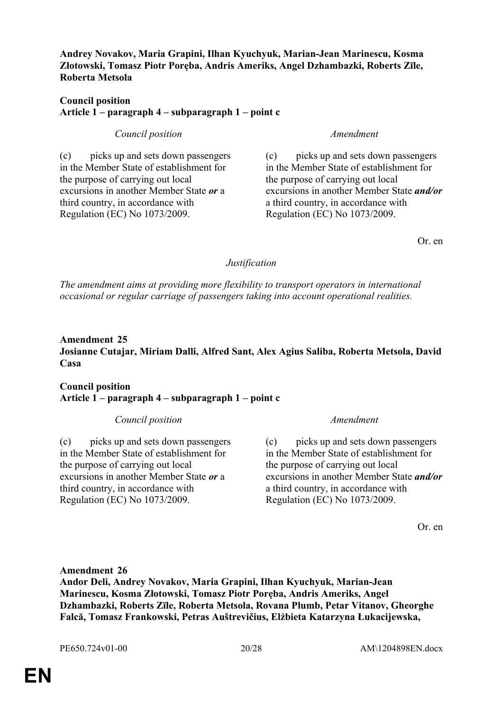**Andrey Novakov, Maria Grapini, Ilhan Kyuchyuk, Marian-Jean Marinescu, Kosma Złotowski, Tomasz Piotr Poręba, Andris Ameriks, Angel Dzhambazki, Roberts Zīle, Roberta Metsola**

### **Council position Article 1 – paragraph 4 – subparagraph 1 – point c**

*Council position Amendment*

(c) picks up and sets down passengers in the Member State of establishment for the purpose of carrying out local excursions in another Member State *or* a third country, in accordance with Regulation (EC) No 1073/2009.

(c) picks up and sets down passengers in the Member State of establishment for the purpose of carrying out local excursions in another Member State *and/or* a third country, in accordance with Regulation (EC) No 1073/2009.

Or. en

### *Justification*

*The amendment aims at providing more flexibility to transport operators in international occasional or regular carriage of passengers taking into account operational realities.*

### **Amendment 25 Josianne Cutajar, Miriam Dalli, Alfred Sant, Alex Agius Saliba, Roberta Metsola, David Casa**

### **Council position Article 1 – paragraph 4 – subparagraph 1 – point c**

### *Council position Amendment*

(c) picks up and sets down passengers in the Member State of establishment for the purpose of carrying out local excursions in another Member State *or* a third country, in accordance with Regulation (EC) No 1073/2009.

(c) picks up and sets down passengers in the Member State of establishment for the purpose of carrying out local excursions in another Member State *and/or* a third country, in accordance with Regulation (EC) No 1073/2009.

Or. en

**Amendment 26 Andor Deli, Andrey Novakov, Maria Grapini, Ilhan Kyuchyuk, Marian-Jean Marinescu, Kosma Złotowski, Tomasz Piotr Poręba, Andris Ameriks, Angel Dzhambazki, Roberts Zīle, Roberta Metsola, Rovana Plumb, Petar Vitanov, Gheorghe Falcă, Tomasz Frankowski, Petras Auštrevičius, Elżbieta Katarzyna Łukacijewska,**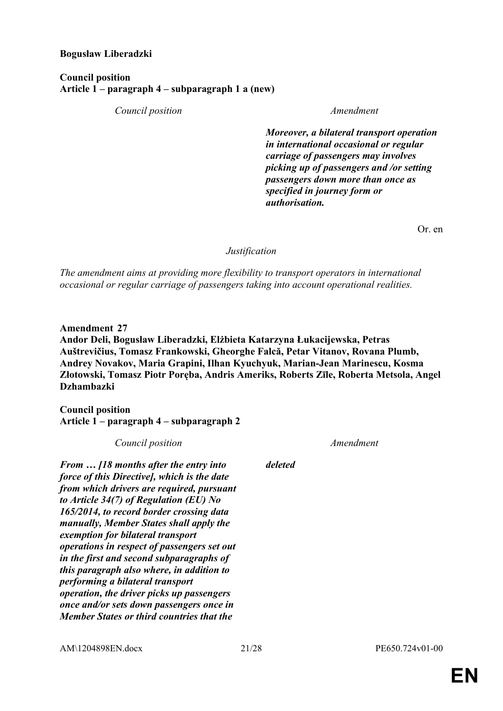### **Bogusław Liberadzki**

### **Council position Article 1 – paragraph 4 – subparagraph 1 a (new)**

*Council position Amendment*

*Moreover, a bilateral transport operation in international occasional or regular carriage of passengers may involves picking up of passengers and /or setting passengers down more than once as specified in journey form or authorisation.*

Or. en

### *Justification*

*The amendment aims at providing more flexibility to transport operators in international occasional or regular carriage of passengers taking into account operational realities.*

**Amendment 27**

**Andor Deli, Bogusław Liberadzki, Elżbieta Katarzyna Łukacijewska, Petras Auštrevičius, Tomasz Frankowski, Gheorghe Falcă, Petar Vitanov, Rovana Plumb, Andrey Novakov, Maria Grapini, Ilhan Kyuchyuk, Marian-Jean Marinescu, Kosma Złotowski, Tomasz Piotr Poręba, Andris Ameriks, Roberts Zīle, Roberta Metsola, Angel Dzhambazki**

**Council position Article 1 – paragraph 4 – subparagraph 2**

| Council position                                                                                                                                                                                                                                                                                                                                                                                                                                                                                                                                                                                                                        |         | Amendment |
|-----------------------------------------------------------------------------------------------------------------------------------------------------------------------------------------------------------------------------------------------------------------------------------------------------------------------------------------------------------------------------------------------------------------------------------------------------------------------------------------------------------------------------------------------------------------------------------------------------------------------------------------|---------|-----------|
| From  [18 months after the entry into<br>force of this Directive], which is the date<br>from which drivers are required, pursuant<br>to Article 34(7) of Regulation (EU) No<br>165/2014, to record border crossing data<br>manually, Member States shall apply the<br>exemption for bilateral transport<br>operations in respect of passengers set out<br>in the first and second subparagraphs of<br>this paragraph also where, in addition to<br>performing a bilateral transport<br><i>operation, the driver picks up passengers</i><br>once and/or sets down passengers once in<br><b>Member States or third countries that the</b> | deleted |           |
|                                                                                                                                                                                                                                                                                                                                                                                                                                                                                                                                                                                                                                         |         |           |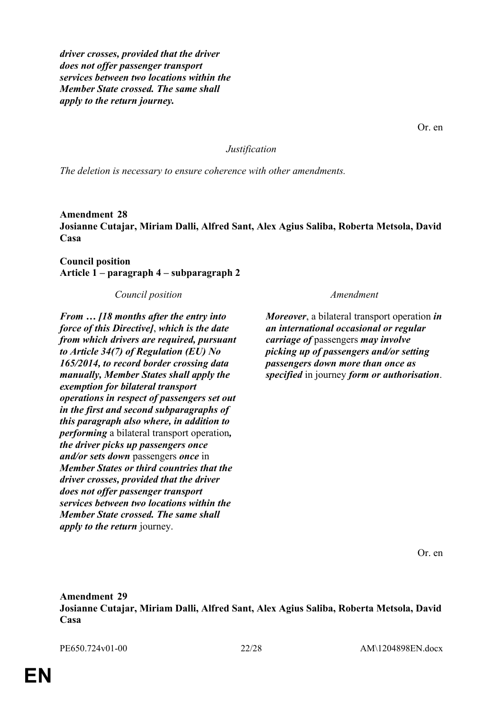*driver crosses, provided that the driver does not offer passenger transport services between two locations within the Member State crossed. The same shall apply to the return journey.*

Or. en

*Justification*

*The deletion is necessary to ensure coherence with other amendments.*

**Amendment 28 Josianne Cutajar, Miriam Dalli, Alfred Sant, Alex Agius Saliba, Roberta Metsola, David Casa**

**Council position Article 1 – paragraph 4 – subparagraph 2**

*Council position Amendment*

*From … [18 months after the entry into force of this Directive]*, *which is the date from which drivers are required, pursuant to Article 34(7) of Regulation (EU) No 165/2014, to record border crossing data manually, Member States shall apply the exemption for bilateral transport operations in respect of passengers set out in the first and second subparagraphs of this paragraph also where, in addition to performing* a bilateral transport operation*, the driver picks up passengers once and/or sets down* passengers *once* in *Member States or third countries that the driver crosses, provided that the driver does not offer passenger transport services between two locations within the Member State crossed. The same shall apply to the return* journey.

*Moreover*, a bilateral transport operation *in an international occasional or regular carriage of* passengers *may involve picking up of passengers and/or setting passengers down more than once as specified* in journey *form or authorisation*.

Or. en

**Amendment 29 Josianne Cutajar, Miriam Dalli, Alfred Sant, Alex Agius Saliba, Roberta Metsola, David Casa**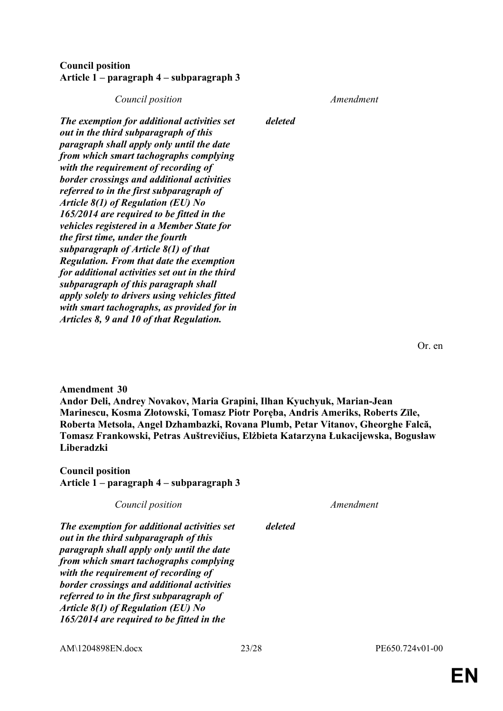### **Council position Article 1 – paragraph 4 – subparagraph 3**

### *Council position Amendment*

*deleted*

*The exemption for additional activities set out in the third subparagraph of this paragraph shall apply only until the date from which smart tachographs complying with the requirement of recording of border crossings and additional activities referred to in the first subparagraph of Article 8(1) of Regulation (EU) No 165/2014 are required to be fitted in the vehicles registered in a Member State for the first time, under the fourth subparagraph of Article 8(1) of that Regulation. From that date the exemption for additional activities set out in the third subparagraph of this paragraph shall apply solely to drivers using vehicles fitted with smart tachographs, as provided for in Articles 8, 9 and 10 of that Regulation.*

Or. en

### **Amendment 30**

**Andor Deli, Andrey Novakov, Maria Grapini, Ilhan Kyuchyuk, Marian-Jean Marinescu, Kosma Złotowski, Tomasz Piotr Poręba, Andris Ameriks, Roberts Zīle, Roberta Metsola, Angel Dzhambazki, Rovana Plumb, Petar Vitanov, Gheorghe Falcă, Tomasz Frankowski, Petras Auštrevičius, Elżbieta Katarzyna Łukacijewska, Bogusław Liberadzki**

*deleted*

**Council position Article 1 – paragraph 4 – subparagraph 3**

| Council position |  |
|------------------|--|

*Council position Amendment*

*The exemption for additional activities set out in the third subparagraph of this paragraph shall apply only until the date from which smart tachographs complying with the requirement of recording of border crossings and additional activities referred to in the first subparagraph of Article 8(1) of Regulation (EU) No 165/2014 are required to be fitted in the* 

AM\1204898EN.docx 23/28 PE650.724v01-00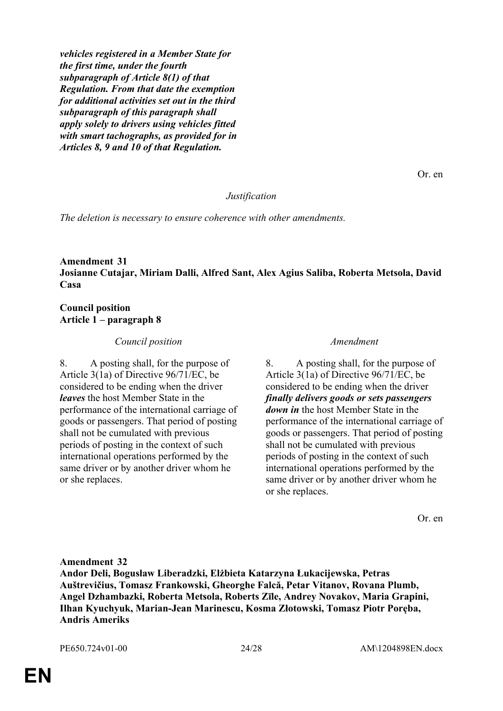*vehicles registered in a Member State for the first time, under the fourth subparagraph of Article 8(1) of that Regulation. From that date the exemption for additional activities set out in the third subparagraph of this paragraph shall apply solely to drivers using vehicles fitted with smart tachographs, as provided for in Articles 8, 9 and 10 of that Regulation.*

Or. en

### *Justification*

*The deletion is necessary to ensure coherence with other amendments.*

### **Amendment 31 Josianne Cutajar, Miriam Dalli, Alfred Sant, Alex Agius Saliba, Roberta Metsola, David Casa**

### **Council position Article 1 – paragraph 8**

### *Council position Amendment*

8. A posting shall, for the purpose of Article 3(1a) of Directive 96/71/EC, be considered to be ending when the driver *leaves* the host Member State in the performance of the international carriage of goods or passengers. That period of posting shall not be cumulated with previous periods of posting in the context of such international operations performed by the same driver or by another driver whom he or she replaces.

8. A posting shall, for the purpose of Article 3(1a) of Directive 96/71/EC, be considered to be ending when the driver *finally delivers goods or sets passengers down in* the host Member State in the performance of the international carriage of goods or passengers. That period of posting shall not be cumulated with previous periods of posting in the context of such international operations performed by the same driver or by another driver whom he or she replaces.

Or. en

**Amendment 32 Andor Deli, Bogusław Liberadzki, Elżbieta Katarzyna Łukacijewska, Petras Auštrevičius, Tomasz Frankowski, Gheorghe Falcă, Petar Vitanov, Rovana Plumb, Angel Dzhambazki, Roberta Metsola, Roberts Zīle, Andrey Novakov, Maria Grapini, Ilhan Kyuchyuk, Marian-Jean Marinescu, Kosma Złotowski, Tomasz Piotr Poręba, Andris Ameriks**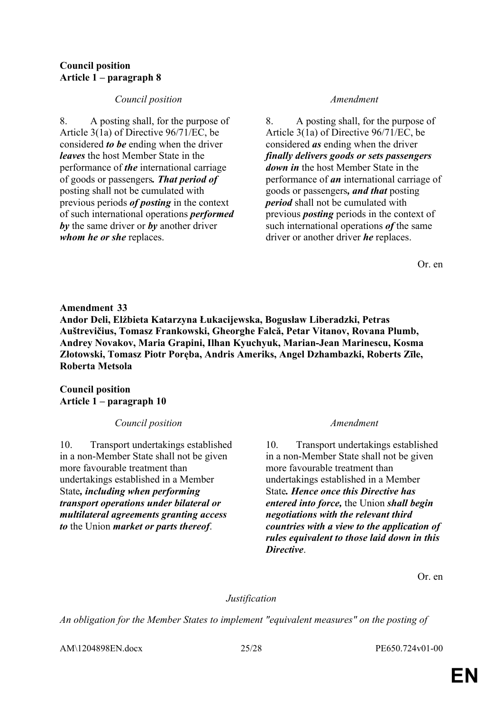### **Council position Article 1 – paragraph 8**

### *Council position Amendment*

8. A posting shall, for the purpose of Article 3(1a) of Directive 96/71/EC, be considered *to be* ending when the driver *leaves* the host Member State in the performance of *the* international carriage of goods or passengers*. That period of* posting shall not be cumulated with previous periods *of posting* in the context of such international operations *performed by* the same driver or *by* another driver *whom he or she* replaces.

8. A posting shall, for the purpose of Article 3(1a) of Directive 96/71/EC, be considered *as* ending when the driver *finally delivers goods or sets passengers down in* the host Member State in the performance of *an* international carriage of goods or passengers*, and that* posting *period* shall not be cumulated with previous *posting* periods in the context of such international operations *of* the same driver or another driver *he* replaces.

Or. en

**Amendment 33 Andor Deli, Elżbieta Katarzyna Łukacijewska, Bogusław Liberadzki, Petras Auštrevičius, Tomasz Frankowski, Gheorghe Falcă, Petar Vitanov, Rovana Plumb, Andrey Novakov, Maria Grapini, Ilhan Kyuchyuk, Marian-Jean Marinescu, Kosma Złotowski, Tomasz Piotr Poręba, Andris Ameriks, Angel Dzhambazki, Roberts Zīle, Roberta Metsola**

### **Council position Article 1 – paragraph 10**

*Council position Amendment*

10. Transport undertakings established in a non-Member State shall not be given more favourable treatment than undertakings established in a Member State*, including when performing transport operations under bilateral or multilateral agreements granting access to* the Union *market or parts thereof*.

10. Transport undertakings established in a non-Member State shall not be given more favourable treatment than undertakings established in a Member State*. Hence once this Directive has entered into force,* the Union *shall begin negotiations with the relevant third countries with a view to the application of rules equivalent to those laid down in this Directive*.

Or. en

### *Justification*

*An obligation for the Member States to implement "equivalent measures" on the posting of* 

AM\1204898EN.docx 25/28 PE650.724v01-00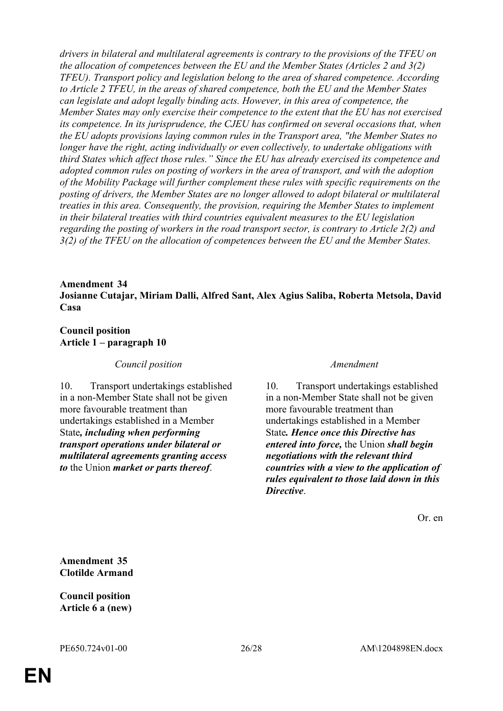*drivers in bilateral and multilateral agreements is contrary to the provisions of the TFEU on the allocation of competences between the EU and the Member States (Articles 2 and 3(2) TFEU). Transport policy and legislation belong to the area of shared competence. According to Article 2 TFEU, in the areas of shared competence, both the EU and the Member States can legislate and adopt legally binding acts. However, in this area of competence, the Member States may only exercise their competence to the extent that the EU has not exercised its competence. In its jurisprudence, the CJEU has confirmed on several occasions that, when the EU adopts provisions laying common rules in the Transport area, "the Member States no longer have the right, acting individually or even collectively, to undertake obligations with third States which affect those rules." Since the EU has already exercised its competence and adopted common rules on posting of workers in the area of transport, and with the adoption of the Mobility Package will further complement these rules with specific requirements on the posting of drivers, the Member States are no longer allowed to adopt bilateral or multilateral treaties in this area. Consequently, the provision, requiring the Member States to implement in their bilateral treaties with third countries equivalent measures to the EU legislation regarding the posting of workers in the road transport sector, is contrary to Article 2(2) and 3(2) of the TFEU on the allocation of competences between the EU and the Member States.*

### **Amendment 34 Josianne Cutajar, Miriam Dalli, Alfred Sant, Alex Agius Saliba, Roberta Metsola, David Casa**

### **Council position Article 1 – paragraph 10**

*Council position Amendment*

10. Transport undertakings established in a non-Member State shall not be given more favourable treatment than undertakings established in a Member State*, including when performing transport operations under bilateral or multilateral agreements granting access to* the Union *market or parts thereof*.

10. Transport undertakings established in a non-Member State shall not be given more favourable treatment than undertakings established in a Member State*. Hence once this Directive has entered into force,* the Union *shall begin negotiations with the relevant third countries with a view to the application of rules equivalent to those laid down in this Directive*.

Or. en

**Amendment 35 Clotilde Armand**

**Council position Article 6 a (new)**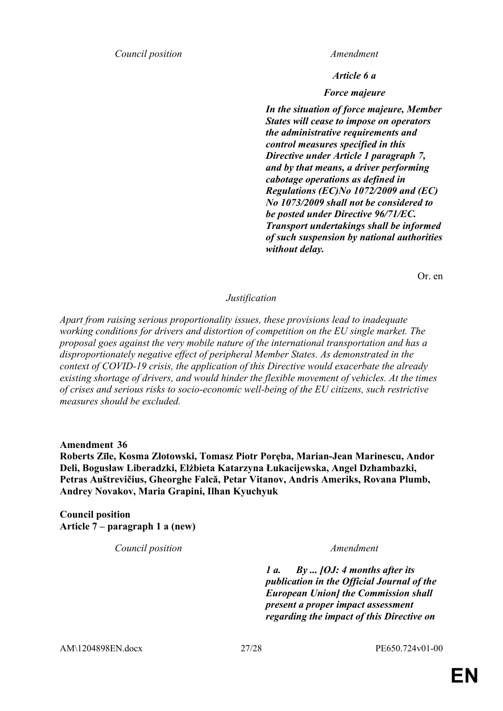*Council position Amendment*

*Article 6 a*

*Force majeure*

*In the situation of force majeure, Member States will cease to impose on operators the administrative requirements and control measures specified in this Directive under Article 1 paragraph 7, and by that means, a driver performing cabotage operations as defined in Regulations (EC)No 1072/2009 and (EC) No 1073/2009 shall not be considered to be posted under Directive 96/71/EC. Transport undertakings shall be informed of such suspension by national authorities without delay.*

Or. en

*Justification*

*Apart from raising serious proportionality issues, these provisions lead to inadequate working conditions for drivers and distortion of competition on the EU single market. The proposal goes against the very mobile nature of the international transportation and has a disproportionately negative effect of peripheral Member States. As demonstrated in the context of COVID-19 crisis, the application of this Directive would exacerbate the already existing shortage of drivers, and would hinder the flexible movement of vehicles. At the times of crises and serious risks to socio-economic well-being of the EU citizens, such restrictive measures should be excluded.*

**Amendment 36**

**Roberts Zīle, Kosma Złotowski, Tomasz Piotr Poręba, Marian-Jean Marinescu, Andor Deli, Bogusław Liberadzki, Elżbieta Katarzyna Łukacijewska, Angel Dzhambazki, Petras Auštrevičius, Gheorghe Falcă, Petar Vitanov, Andris Ameriks, Rovana Plumb, Andrey Novakov, Maria Grapini, Ilhan Kyuchyuk**

**Council position Article 7 – paragraph 1 a (new)**

*Council position Amendment*

*1 a. By ... [OJ: 4 months after its publication in the Official Journal of the European Union] the Commission shall present a proper impact assessment regarding the impact of this Directive on* 

AM\1204898EN.docx 27/28 PE650.724v01-00